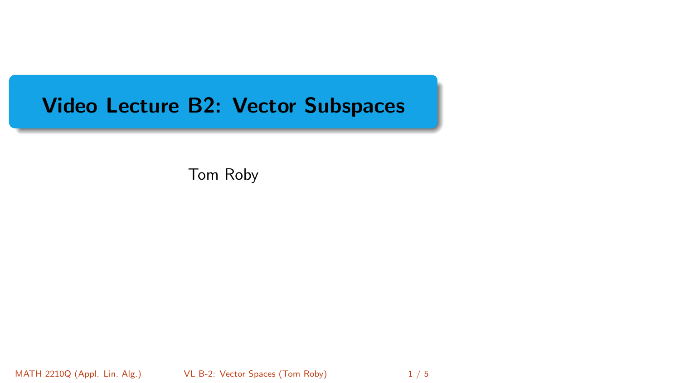# <span id="page-0-0"></span>Video Lecture B2: Vector Subspaces

Tom Roby

MATH 2210Q (Appl. Lin. Alg.) **[VL B-2: Vector Spaces](#page-4-0) (Tom Roby)** 1/5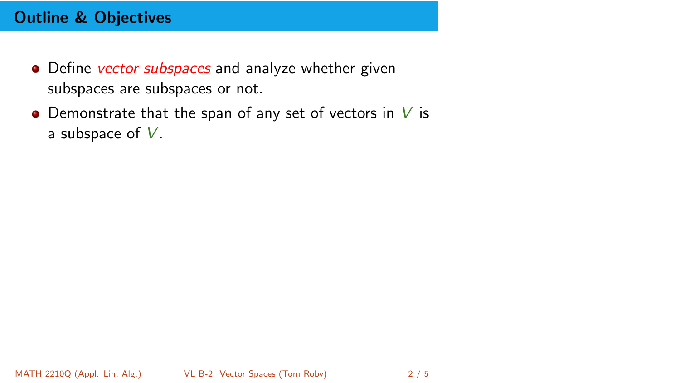## Outline & Objectives

- Define vector subspaces and analyze whether given subspaces are subspaces or not.
- Demonstrate that the span of any set of vectors in  $V$  is a subspace of  $V$ .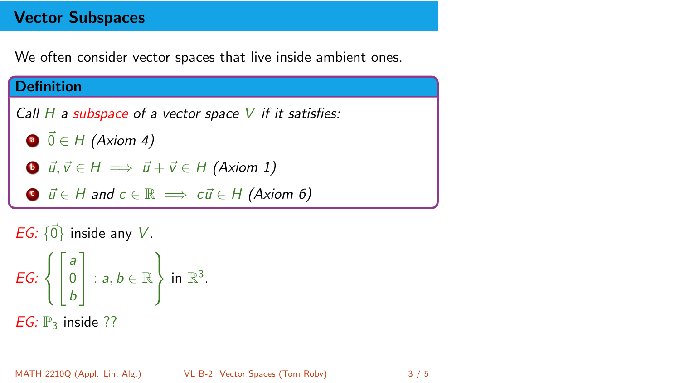### Vector Subspaces

We often consider vector spaces that live inside ambient ones.

#### **Definition**

Call  $H$  a subspace of a vector space  $V$  if it satisfies:

- $\vec{0} \in H$  (Axiom 4)
- **b**  $\vec{u}, \vec{v} \in H \implies \vec{u} + \vec{v} \in H$  (Axiom 1)
- **c**  $\vec{u} \in H$  and  $c \in \mathbb{R} \implies c\vec{u} \in H$  (Axiom 6)

EG:  $\{\vec{0}\}\$ inside any V.

*EG*: 
$$
\left\{ \begin{bmatrix} a \\ 0 \\ b \end{bmatrix} : a, b \in \mathbb{R} \right\} \text{ in } \mathbb{R}^3.
$$
*EG*:  $\mathbb{P}_3$  inside ??

MATH 2210Q (Appl. Lin. Alg.) [VL B-2: Vector Spaces](#page-0-0) (Tom Roby) 3 / 5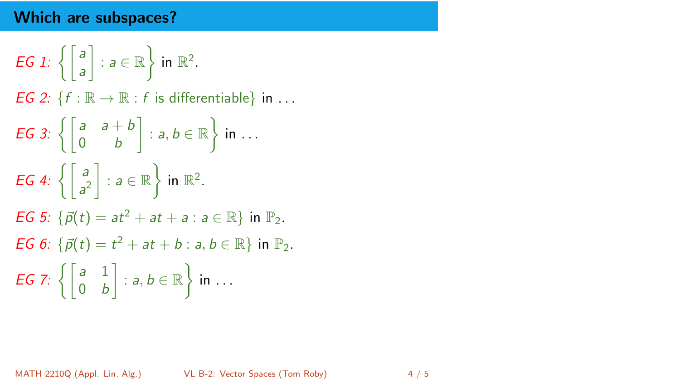## Which are subspaces?

EG 1: 
$$
\left\{ \begin{bmatrix} a \\ a \end{bmatrix} : a \in \mathbb{R} \right\} \text{ in } \mathbb{R}^2.
$$
  
\nEG 2: 
$$
\{f : \mathbb{R} \to \mathbb{R} : f \text{ is differentiable} \} \text{ in } \dots
$$
  
\nEG 3: 
$$
\left\{ \begin{bmatrix} a & a+b \\ 0 & b \end{bmatrix} : a, b \in \mathbb{R} \right\} \text{ in } \dots
$$
  
\nEG 4: 
$$
\left\{ \begin{bmatrix} a \\ a^2 \end{bmatrix} : a \in \mathbb{R} \right\} \text{ in } \mathbb{R}^2.
$$
  
\nEG 5: 
$$
\{\vec{p}(t) = at^2 + at + a : a \in \mathbb{R} \} \text{ in } \mathbb{P}_2.
$$
  
\nEG 6: 
$$
\{\vec{p}(t) = t^2 + at + b : a, b \in \mathbb{R} \} \text{ in } \mathbb{P}_2.
$$
  
\nEG 7: 
$$
\left\{ \begin{bmatrix} a & 1 \\ 0 & b \end{bmatrix} : a, b \in \mathbb{R} \right\} \text{ in } \dots
$$